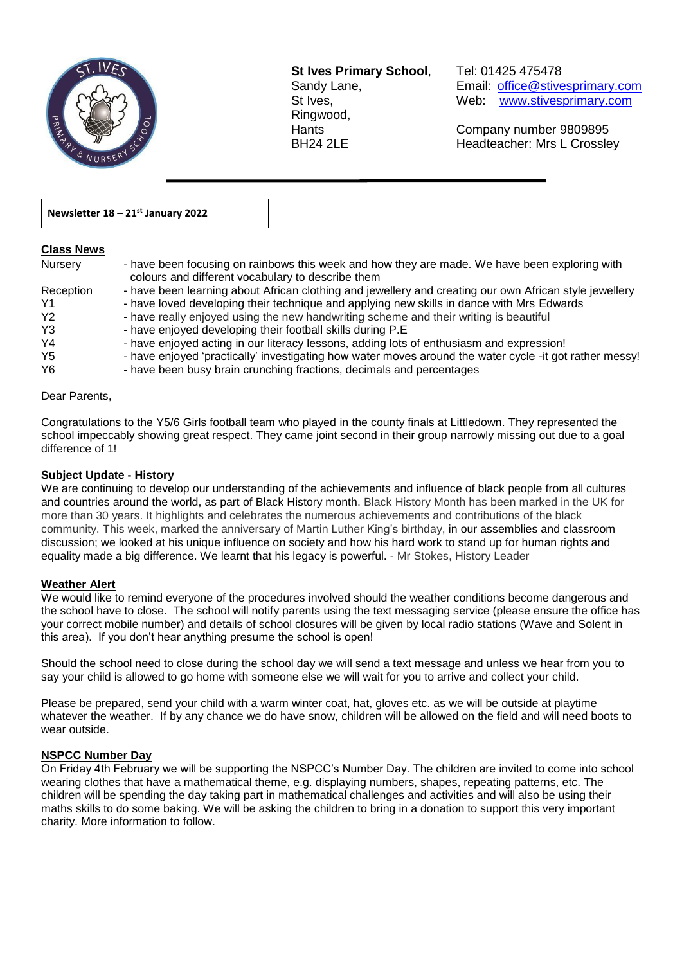

**St Ives Primary School**, Tel: 01425 475478 Ringwood,

Sandy Lane, Email: office@stivesprimary.com St Ives, [www.stivesprimary.com](http://www.stives.dorset.sch.uk/)

Hants Company number 9809895 BH24 2LE Headteacher: Mrs L Crossley

#### **Newsletter 18 – 21st January 2022**

#### **Class News**

| Nursery        | - have been focusing on rainbows this week and how they are made. We have been exploring with<br>colours and different vocabulary to describe them |
|----------------|----------------------------------------------------------------------------------------------------------------------------------------------------|
| Reception      | - have been learning about African clothing and jewellery and creating our own African style jewellery                                             |
| Y1             | - have loved developing their technique and applying new skills in dance with Mrs Edwards                                                          |
| Y <sub>2</sub> | - have really enjoyed using the new handwriting scheme and their writing is beautiful                                                              |
| Y <sub>3</sub> | - have enjoyed developing their football skills during P.E                                                                                         |
| Y4             | - have enjoyed acting in our literacy lessons, adding lots of enthusiasm and expression!                                                           |
| Y <sub>5</sub> | - have enjoyed 'practically' investigating how water moves around the water cycle -it got rather messy!                                            |
| Y6             | - have been busy brain crunching fractions, decimals and percentages                                                                               |

 $\overline{a}$ 

Dear Parents,

Congratulations to the Y5/6 Girls football team who played in the county finals at Littledown. They represented the school impeccably showing great respect. They came joint second in their group narrowly missing out due to a goal difference of 1!

#### **Subject Update - History**

We are continuing to develop our understanding of the achievements and influence of black people from all cultures and countries around the world, as part of Black History month. Black History Month has been marked in the UK for more than 30 years. It highlights and celebrates the numerous achievements and contributions of the black community. This week, marked the anniversary of Martin Luther King's birthday, in our assemblies and classroom discussion; we looked at his unique influence on society and how his hard work to stand up for human rights and equality made a big difference. We learnt that his legacy is powerful. - Mr Stokes, History Leader

#### **Weather Alert**

We would like to remind everyone of the procedures involved should the weather conditions become dangerous and the school have to close. The school will notify parents using the text messaging service (please ensure the office has your correct mobile number) and details of school closures will be given by local radio stations (Wave and Solent in this area). If you don't hear anything presume the school is open!

Should the school need to close during the school day we will send a text message and unless we hear from you to say your child is allowed to go home with someone else we will wait for you to arrive and collect your child.

Please be prepared, send your child with a warm winter coat, hat, gloves etc. as we will be outside at playtime whatever the weather. If by any chance we do have snow, children will be allowed on the field and will need boots to wear outside.

#### **NSPCC Number Day**

On Friday 4th February we will be supporting the NSPCC's Number Day. The children are invited to come into school wearing clothes that have a mathematical theme, e.g. displaying numbers, shapes, repeating patterns, etc. The children will be spending the day taking part in mathematical challenges and activities and will also be using their maths skills to do some baking. We will be asking the children to bring in a donation to support this very important charity. More information to follow.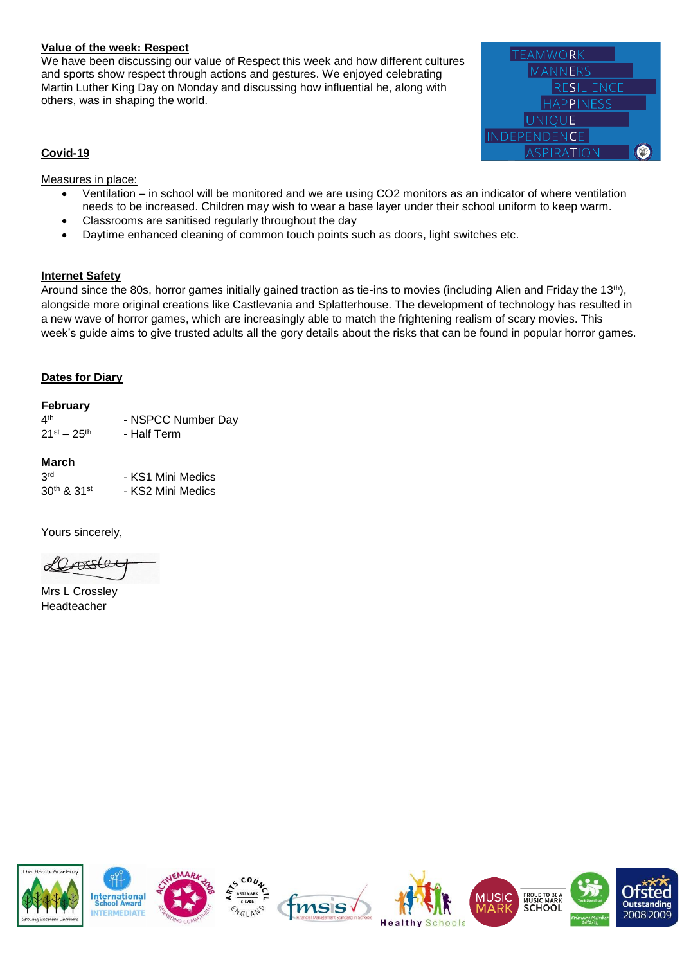#### **Value of the week: Respect**

We have been discussing our value of Respect this week and how different cultures and sports show respect through actions and gestures. We enjoyed celebrating Martin Luther King Day on Monday and discussing how influential he, along with others, was in shaping the world.



#### **Covid-19**

Measures in place:

- Ventilation in school will be monitored and we are using CO2 monitors as an indicator of where ventilation needs to be increased. Children may wish to wear a base layer under their school uniform to keep warm.
- Classrooms are sanitised regularly throughout the day
- Daytime enhanced cleaning of common touch points such as doors, light switches etc.

#### **Internet Safety**

Around since the 80s, horror games initially gained traction as tie-ins to movies (including Alien and Friday the 13<sup>th</sup>), alongside more original creations like Castlevania and Splatterhouse. The development of technology has resulted in a new wave of horror games, which are increasingly able to match the frightening realism of scary movies. This week's guide aims to give trusted adults all the gory details about the risks that can be found in popular horror games.

#### **Dates for Diary**

#### **February**

| ⊿th                 | - NSPCC Number Day |
|---------------------|--------------------|
| $21^{st} - 25^{th}$ | - Half Term        |

#### **March**

| 3 <sup>rd</sup>       | - KS1 Mini Medics |
|-----------------------|-------------------|
| $30^{th}$ & $31^{st}$ | - KS2 Mini Medics |

Yours sincerely,

ATSCer

Mrs L Crossley Headteacher